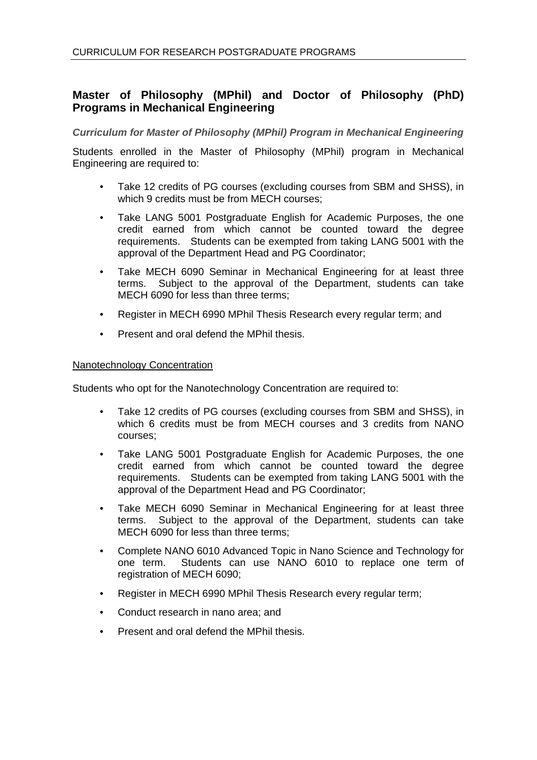# **Master of Philosophy (MPhil) and Doctor of Philosophy (PhD) Programs in Mechanical Engineering**

*Curriculum for Master of Philosophy (MPhil) Program in Mechanical Engineering* 

Students enrolled in the Master of Philosophy (MPhil) program in Mechanical Engineering are required to:

- Take 12 credits of PG courses (excluding courses from SBM and SHSS), in which 9 credits must be from MECH courses:
- Take LANG 5001 Postgraduate English for Academic Purposes, the one credit earned from which cannot be counted toward the degree requirements. Students can be exempted from taking LANG 5001 with the approval of the Department Head and PG Coordinator;
- Take MECH 6090 Seminar in Mechanical Engineering for at least three terms. Subject to the approval of the Department, students can take MECH 6090 for less than three terms;
- Register in MECH 6990 MPhil Thesis Research every regular term; and
- Present and oral defend the MPhil thesis.

### Nanotechnology Concentration

Students who opt for the Nanotechnology Concentration are required to:

- Take 12 credits of PG courses (excluding courses from SBM and SHSS), in which 6 credits must be from MECH courses and 3 credits from NANO courses;
- Take LANG 5001 Postgraduate English for Academic Purposes, the one credit earned from which cannot be counted toward the degree requirements. Students can be exempted from taking LANG 5001 with the approval of the Department Head and PG Coordinator;
- Take MECH 6090 Seminar in Mechanical Engineering for at least three terms. Subject to the approval of the Department, students can take MECH 6090 for less than three terms;
- Complete NANO 6010 Advanced Topic in Nano Science and Technology for one term. Students can use NANO 6010 to replace one term of registration of MECH 6090;
- Register in MECH 6990 MPhil Thesis Research every regular term;
- Conduct research in nano area; and
- Present and oral defend the MPhil thesis.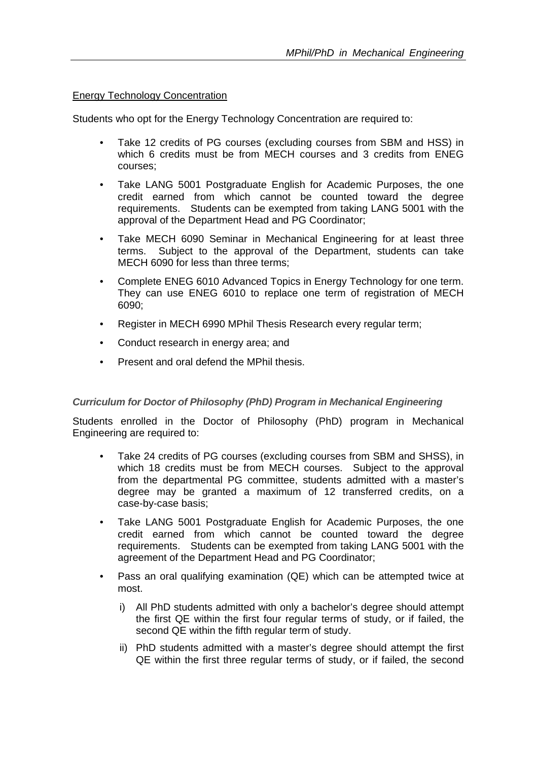## Energy Technology Concentration

Students who opt for the Energy Technology Concentration are required to:

- Take 12 credits of PG courses (excluding courses from SBM and HSS) in which 6 credits must be from MECH courses and 3 credits from ENEG courses;
- Take LANG 5001 Postgraduate English for Academic Purposes, the one credit earned from which cannot be counted toward the degree requirements. Students can be exempted from taking LANG 5001 with the approval of the Department Head and PG Coordinator;
- Take MECH 6090 Seminar in Mechanical Engineering for at least three terms. Subject to the approval of the Department, students can take MECH 6090 for less than three terms;
- Complete ENEG 6010 Advanced Topics in Energy Technology for one term. They can use ENEG 6010 to replace one term of registration of MECH 6090;
- Register in MECH 6990 MPhil Thesis Research every regular term;
- Conduct research in energy area; and
- Present and oral defend the MPhil thesis.

### *Curriculum for Doctor of Philosophy (PhD) Program in Mechanical Engineering*

Students enrolled in the Doctor of Philosophy (PhD) program in Mechanical Engineering are required to:

- Take 24 credits of PG courses (excluding courses from SBM and SHSS), in which 18 credits must be from MECH courses. Subject to the approval from the departmental PG committee, students admitted with a master's degree may be granted a maximum of 12 transferred credits, on a case-by-case basis;
- Take LANG 5001 Postgraduate English for Academic Purposes, the one credit earned from which cannot be counted toward the degree requirements. Students can be exempted from taking LANG 5001 with the agreement of the Department Head and PG Coordinator;
- Pass an oral qualifying examination (QE) which can be attempted twice at most.
	- i) All PhD students admitted with only a bachelor's degree should attempt the first QE within the first four regular terms of study, or if failed, the second QE within the fifth regular term of study.
	- ii) PhD students admitted with a master's degree should attempt the first QE within the first three regular terms of study, or if failed, the second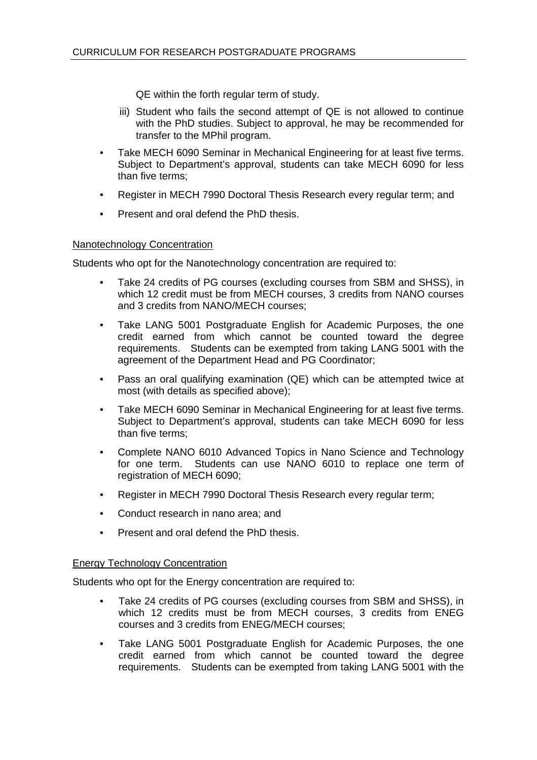QE within the forth regular term of study.

- iii) Student who fails the second attempt of QE is not allowed to continue with the PhD studies. Subject to approval, he may be recommended for transfer to the MPhil program.
- Take MECH 6090 Seminar in Mechanical Engineering for at least five terms. Subject to Department's approval, students can take MECH 6090 for less than five terms;
- Register in MECH 7990 Doctoral Thesis Research every regular term; and
- Present and oral defend the PhD thesis.

### Nanotechnology Concentration

Students who opt for the Nanotechnology concentration are required to:

- Take 24 credits of PG courses (excluding courses from SBM and SHSS), in which 12 credit must be from MECH courses, 3 credits from NANO courses and 3 credits from NANO/MECH courses;
- Take LANG 5001 Postgraduate English for Academic Purposes, the one credit earned from which cannot be counted toward the degree requirements. Students can be exempted from taking LANG 5001 with the agreement of the Department Head and PG Coordinator;
- Pass an oral qualifying examination (QE) which can be attempted twice at most (with details as specified above);
- Take MECH 6090 Seminar in Mechanical Engineering for at least five terms. Subject to Department's approval, students can take MECH 6090 for less than five terms;
- Complete NANO 6010 Advanced Topics in Nano Science and Technology for one term. Students can use NANO 6010 to replace one term of registration of MECH 6090;
- Register in MECH 7990 Doctoral Thesis Research every regular term;
- Conduct research in nano area; and
- Present and oral defend the PhD thesis.

### Energy Technology Concentration

Students who opt for the Energy concentration are required to:

- Take 24 credits of PG courses (excluding courses from SBM and SHSS), in which 12 credits must be from MECH courses, 3 credits from ENEG courses and 3 credits from ENEG/MECH courses;
- Take LANG 5001 Postgraduate English for Academic Purposes, the one credit earned from which cannot be counted toward the degree requirements. Students can be exempted from taking LANG 5001 with the